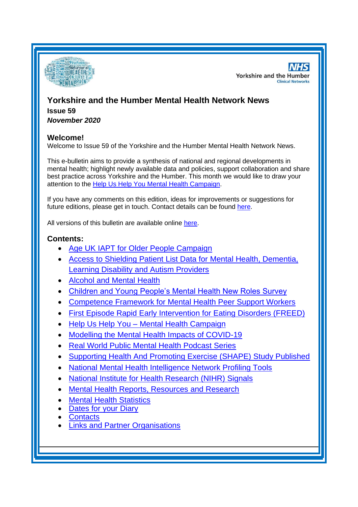

**NHS Yorkshire and the Humber Clinical Networks** 

# **Yorkshire and the Humber Mental Health Network News Issue 59** *November 2020*

# **Welcome!**

Welcome to Issue 59 of the Yorkshire and the Humber Mental Health Network News.

This e-bulletin aims to provide a synthesis of national and regional developments in mental health; highlight newly available data and policies, support collaboration and share best practice across Yorkshire and the Humber. This month we would like to draw your attention to the [Help Us Help You Mental Health Campaign.](#page-2-0)

If you have any comments on this edition, ideas for improvements or suggestions for future editions, please get in touch. Contact details can be found [here.](#page-8-0)

All versions of this bulletin are available online [here.](http://www.yhscn.nhs.uk/mental-health-clinic/mental-health-network/MH-documents-and-links.php)

# **Contents:**

- [Age UK IAPT for Older People Campaign](#page-1-0)
- [Access to Shielding Patient List Data for Mental Health, Dementia,](#page-1-0)  [Learning Disability and Autism Providers](#page-1-0)
- [Alcohol and Mental Health](#page-1-1)
- [Children and Young People's Mental Health New Roles Survey](#page-1-2)
- [Competence Framework for Mental Health Peer Support Workers](#page-2-1)
- [First Episode Rapid Early Intervention for Eating Disorders \(FREED\)](#page-2-2)
- Help Us Help You [Mental Health Campaign](#page-2-0)
- [Modelling the Mental Health Impacts of COVID-19](#page-2-3)
- [Real World Public Mental Health Podcast Series](#page-2-3)
- Supporting Health And [Promoting Exercise \(SHAPE\) Study Published](#page-1-2)
- National Mental Health Intelligence Network Profiling Tools
- [National Institute for Health Research \(NIHR\) Signals](#page-4-0)
- [Mental Health Reports, Resources and](#page-4-1) Research
- **[Mental Health Statistics](#page-6-0)**
- **[Dates for your Diary](#page-6-1)**
- **[Contacts](#page-8-0)**
- **Links and [Partner Organisations](#page-8-1)**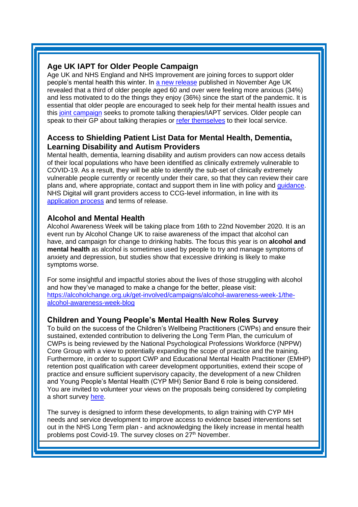## <span id="page-1-0"></span>**Age UK IAPT for Older People Campaign**

Age UK and NHS England and NHS Improvement are joining forces to support older people's mental health this winter. In [a new release](https://www.ageuk.org.uk/latest-press/articles/2020/11/worrying-rise-in-anxiety-and-loss-of-motivation-among-older-people/) published in November Age UK revealed that a third of older people aged 60 and over were feeling more anxious (34%) and less motivated to do the things they enjoy (36%) since the start of the pandemic. It is essential that older people are encouraged to seek help for their mental health issues and this [joint campaign](https://www.ageuk.org.uk/discover/2020/01/iapt/) seeks to promote talking therapies/IAPT services. Older people can speak to their GP about talking therapies or [refer themselves](https://www.nhs.uk/service-search/find-a-psychological-therapies-service/) to their local service.

# **Access to Shielding Patient List Data for Mental Health, Dementia, Learning Disability and Autism Providers**

<span id="page-1-2"></span>Mental health, dementia, learning disability and autism providers can now access details of their local populations who have been identified as clinically extremely vulnerable to COVID-19. As a result, they will be able to identify the sub-set of clinically extremely vulnerable people currently or recently under their care, so that they can review their care plans and, where appropriate, contact and support them in line with policy and [guidance.](https://www.england.nhs.uk/coronavirus/wp-content/uploads/sites/52/2020/03/C0754-access-to-the-shielded-patient-list-data-guidance.pdf) NHS Digital will grant providers access to CCG-level information, in line with its [application process](https://digital.nhs.uk/coronavirus/shielded-patient-list/guidance-for-other-organisations/apply-for-data-from-the-shielded-patient-list) and terms of release.

## <span id="page-1-1"></span>**Alcohol and Mental Health**

Alcohol Awareness Week will be taking place from 16th to 22nd November 2020. It is an event run by Alcohol Change UK to raise awareness of the impact that alcohol can have, and campaign for change to drinking habits. The focus this year is on **alcohol and mental health** as alcohol is sometimes used by people to try and manage symptoms of anxiety and depression, but studies show that excessive drinking is likely to make symptoms worse.

For some insightful and impactful stories about the lives of those struggling with alcohol and how they've managed to make a change for the better, please visit: [https://alcoholchange.org.uk/get-involved/campaigns/alcohol-awareness-week-1/the](https://eur01.safelinks.protection.outlook.com/?url=https%3A%2F%2Falcoholchange.org.uk%2Fget-involved%2Fcampaigns%2Falcohol-awareness-week-1%2Fthe-alcohol-awareness-week-blog&data=04%7C01%7CLaura.Hodgson%40phe.gov.uk%7Cc0ab81ceee7a40dbc00708d88a1d2766%7Cee4e14994a354b2ead475f3cf9de8666%7C0%7C0%7C637411205107316742%7CUnknown%7CTWFpbGZsb3d8eyJWIjoiMC4wLjAwMDAiLCJQIjoiV2luMzIiLCJBTiI6Ik1haWwiLCJXVCI6Mn0%3D%7C1000&sdata=XemF7jvEq6XJ%2BHNNuGB1uRSVHtJEPVg9TZvwLiWTL8s%3D&reserved=0)[alcohol-awareness-week-blog](https://eur01.safelinks.protection.outlook.com/?url=https%3A%2F%2Falcoholchange.org.uk%2Fget-involved%2Fcampaigns%2Falcohol-awareness-week-1%2Fthe-alcohol-awareness-week-blog&data=04%7C01%7CLaura.Hodgson%40phe.gov.uk%7Cc0ab81ceee7a40dbc00708d88a1d2766%7Cee4e14994a354b2ead475f3cf9de8666%7C0%7C0%7C637411205107316742%7CUnknown%7CTWFpbGZsb3d8eyJWIjoiMC4wLjAwMDAiLCJQIjoiV2luMzIiLCJBTiI6Ik1haWwiLCJXVCI6Mn0%3D%7C1000&sdata=XemF7jvEq6XJ%2BHNNuGB1uRSVHtJEPVg9TZvwLiWTL8s%3D&reserved=0)

## **Children and Young People's Mental Health New Roles Survey**

To build on the success of the Children's Wellbeing Practitioners (CWPs) and ensure their sustained, extended contribution to delivering the Long Term Plan, the curriculum of CWPs is being reviewed by the National Psychological Professions Workforce (NPPW) Core Group with a view to potentially expanding the scope of practice and the training. Furthermore, in order to support CWP and Educational Mental Health Practitioner (EMHP) retention post qualification with career development opportunities, extend their scope of practice and ensure sufficient supervisory capacity, the development of a new Children and Young People's Mental Health (CYP MH) Senior Band 6 role is being considered. You are invited to volunteer your views on the proposals being considered by completing a short survey [here.](https://exetercles.eu.qualtrics.com/jfe/form/SV_bHMyYdMRJ4xkDaZ)

The survey is designed to inform these developments, to align training with CYP MH needs and service development to improve access to evidence based interventions set out in the NHS Long Term plan - and acknowledging the likely increase in mental health problems post Covid-19. The survey closes on 27<sup>th</sup> November.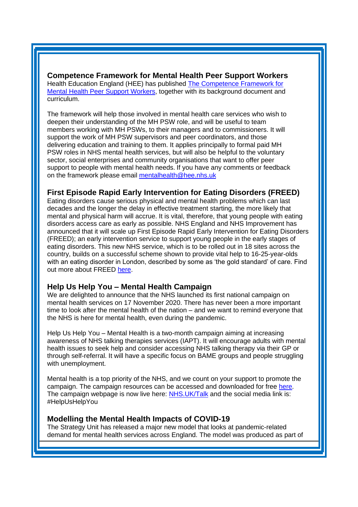<span id="page-2-1"></span>**Competence Framework for Mental Health Peer Support Workers** Health Education England (HEE) has published [The Competence Framework for](https://www.hee.nhs.uk/our-work/mental-health/new-roles-mental-health/peer-support-workers)  [Mental Health Peer Support Workers,](https://www.hee.nhs.uk/our-work/mental-health/new-roles-mental-health/peer-support-workers) together with its background document and curriculum.

The framework will help those involved in mental health care services who wish to deepen their understanding of the MH PSW role, and will be useful to team members working with MH PSWs, to their managers and to commissioners. It will support the work of MH PSW supervisors and peer coordinators, and those delivering education and training to them. It applies principally to formal paid MH PSW roles in NHS mental health services, but will also be helpful to the voluntary sector, social enterprises and community organisations that want to offer peer support to people with mental health needs. If you have any comments or feedback on the framework please email [mentalhealth@hee.nhs.uk](mailto:mentalhealth@hee.nhs.uk?subject=Feedback:PSWCF)

#### <span id="page-2-2"></span>**First Episode Rapid Early Intervention for Eating Disorders (FREED)**

Eating disorders cause serious physical and mental health problems which can last decades and the longer the delay in effective treatment starting, the more likely that mental and physical harm will accrue. It is vital, therefore, that young people with eating disorders access care as early as possible. NHS England and NHS Improvement has announced that it will scale up First Episode Rapid Early Intervention for Eating Disorders (FREED); an early intervention service to support young people in the early stages of eating disorders. This new NHS service, which is to be rolled out in 18 sites across the country, builds on a successful scheme shown to provide vital help to 16-25-year-olds with an eating disorder in London, described by some as 'the gold standard' of care. Find out more about FREED [here.](https://www.england.nhs.uk/mental-health/case-studies/first-episode-rapid-early-intervention-for-eating-disorders-freed/)

## <span id="page-2-0"></span>**Help Us Help You – Mental Health Campaign**

We are delighted to announce that the NHS launched its first national campaign on mental health services on 17 November 2020. There has never been a more important time to look after the mental health of the nation – and we want to remind everyone that the NHS is here for mental health, even during the pandemic.

Help Us Help You – Mental Health is a two-month campaign aiming at increasing awareness of NHS talking therapies services (IAPT). It will encourage adults with mental health issues to seek help and consider accessing NHS talking therapy via their GP or through self-referral. It will have a specific focus on BAME groups and people struggling with unemployment.

Mental health is a top priority of the NHS, and we count on your support to promote the campaign. The campaign resources can be accessed and downloaded for free [here.](https://campaignresources.phe.gov.uk/resources/campaigns/117-help-us) The campaign webpage is now live here: [NHS.UK/Talk](https://www.nhs.uk/conditions/stress-anxiety-depression/free-therapy-or-counselling/) and the social media link is: #HelpUsHelpYou

#### <span id="page-2-3"></span>**Modelling the Mental Health Impacts of COVID-19**

The Strategy Unit has released a major new model that looks at pandemic-related demand for mental health services across England. The model was produced as part of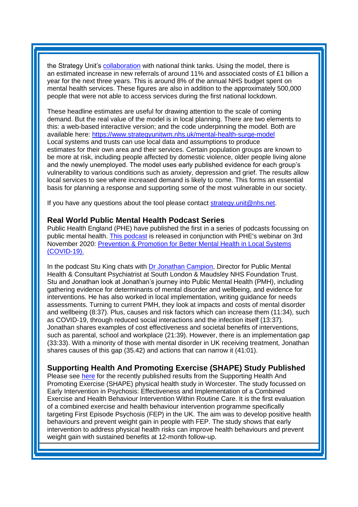the Strategy Unit's [collaboration](https://eur01.safelinks.protection.outlook.com/?url=https%3A%2F%2Fwww.strategyunitwm.nhs.uk%2Fcovid19-and-coronavirus&data=04%7C01%7CAndrina.Stanislawski%40phe.gov.uk%7C6cb671b05035406b4ace08d88af1a7a9%7Cee4e14994a354b2ead475f3cf9de8666%7C0%7C0%7C637412117782465000%7CUnknown%7CTWFpbGZsb3d8eyJWIjoiMC4wLjAwMDAiLCJQIjoiV2luMzIiLCJBTiI6Ik1haWwiLCJXVCI6Mn0%3D%7C1000&sdata=BQC%2Ff6PuXUvB7DA9%2FhuH1Mjhx0FvSvFuz%2BppP3Aivis%3D&reserved=0) with national think tanks. Using the model, there is an estimated increase in new referrals of around 11% and associated costs of £1 billion a year for the next three years. This is around 8% of the annual NHS budget spent on mental health services. These figures are also in addition to the approximately 500,000 people that were not able to access services during the first national lockdown.

These headline estimates are useful for drawing attention to the scale of coming demand. But the real value of the model is in local planning. There are two elements to this: a web-based interactive version; and the code underpinning the model. Both are available here: [https://www.strategyunitwm.nhs.uk/mental-health-surge-model](https://eur01.safelinks.protection.outlook.com/?url=https%3A%2F%2Fwww.strategyunitwm.nhs.uk%2Fmental-health-surge-model&data=04%7C01%7CAndrina.Stanislawski%40phe.gov.uk%7C6cb671b05035406b4ace08d88af1a7a9%7Cee4e14994a354b2ead475f3cf9de8666%7C0%7C0%7C637412117782455050%7CUnknown%7CTWFpbGZsb3d8eyJWIjoiMC4wLjAwMDAiLCJQIjoiV2luMzIiLCJBTiI6Ik1haWwiLCJXVCI6Mn0%3D%7C1000&sdata=nRLRKBHcJ9my69p9V29YqsTZd1FZb8fkUPFQkU795kU%3D&reserved=0) Local systems and trusts can use local data and assumptions to produce estimates for their own area and their services. Certain population groups are known to be more at risk, including people affected by domestic violence, older people living alone and the newly unemployed. The model uses early published evidence for each group's vulnerability to various conditions such as anxiety, depression and grief. The results allow local services to see where increased demand is likely to come. This forms an essential basis for planning a response and supporting some of the most vulnerable in our society.

If you have any questions about the tool please contact [strategy.unit@nhs.net.](mailto:strategy.unit@nhs.net)

#### **Real World Public Mental Health Podcast Series**

Public Health England (PHE) have published the first in a series of podcasts focussing on public mental health. [This podcast](https://www.buzzsprout.com/1427881/6136669-dr-jonathan-campion-director-for-public-mental-health-and-consultant-psychiatrist) is released in conjunction with PHE's webinar on 3rd November 2020: [Prevention & Promotion for Better Mental Health in Local Systems](https://www.eventbrite.co.uk/e/prevention-promotion-for-better-mental-health-in-local-systems-covid-19-tickets-123479186571)  [\(COVID-19\).](https://www.eventbrite.co.uk/e/prevention-promotion-for-better-mental-health-in-local-systems-covid-19-tickets-123479186571)

In the podcast Stu King chats with [Dr Jonathan Campion,](https://www.slam.nhs.uk/national-services/our-experts/dr-jonathan-campion/) Director for Public Mental Health & Consultant Psychiatrist at South London & Maudsley NHS Foundation Trust. Stu and Jonathan look at Jonathan's journey into Public Mental Health (PMH), including gathering evidence for determinants of mental disorder and wellbeing, and evidence for interventions. He has also worked in local implementation, writing guidance for needs assessments. Turning to current PMH, they look at impacts and costs of mental disorder and wellbeing (8:37). Plus, causes and risk factors which can increase them (11:34), such as COVID-19, through reduced social interactions and the infection itself (13:37). Jonathan shares examples of cost effectiveness and societal benefits of interventions, such as parental, school and workplace (21:39). However, there is an implementation gap (33:33). With a minority of those with mental disorder in UK receiving treatment, Jonathan shares causes of this gap (35.42) and actions that can narrow it (41:01).

## **Supporting Health And Promoting Exercise (SHAPE) Study Published**

Please see [here](https://www.frontiersin.org/articles/10.3389/fendo.2020.577691/full?&utm_source=Email_to_authors_&utm_medium=Email&utm_content=T1_11.5e1_author&utm_campaign=Email_publication&field=&journalName=Frontiers_in_Endocrinology&id=577691) for the recently published results from the Supporting Health And Promoting Exercise (SHAPE) physical health study in Worcester. The study focussed on Early Intervention in Psychosis: Effectiveness and Implementation of a Combined Exercise and Health Behaviour Intervention Within Routine Care. It is the first evaluation of a combined exercise and health behaviour intervention programme specifically targeting First Episode Psychosis (FEP) in the UK. The aim was to develop positive health behaviours and prevent weight gain in people with FEP. The study shows that early intervention to address physical health risks can improve health behaviours and prevent weight gain with sustained benefits at 12-month follow-up.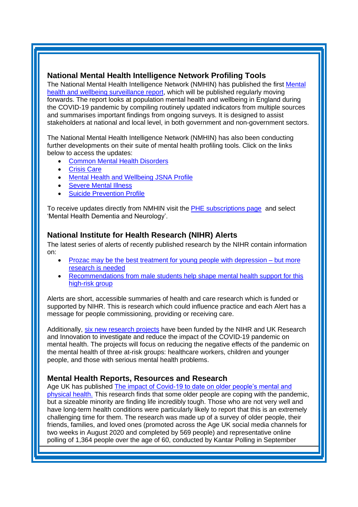## **National Mental Health Intelligence Network Profiling Tools**

The National Mental Health Intelligence Network (NMHIN) has published the first [Mental](https://eur01.safelinks.protection.outlook.com/?url=https%3A%2F%2Flnks.gd%2Fl%2FeyJhbGciOiJIUzI1NiJ9.eyJidWxsZXRpbl9saW5rX2lkIjoxMTMsInVyaSI6ImJwMjpjbGljayIsImJ1bGxldGluX2lkIjoiMjAyMDA5MDkuMjY4MDAxNDEiLCJ1cmwiOiJodHRwczovL2V1cjAxLnNhZmVsaW5rcy5wcm90ZWN0aW9uLm91dGxvb2suY29tLz91cmw9aHR0cHMlM0ElMkYlMkZ3d3cuZ292LnVrJTJGZ292ZXJubWVudCUyRnB1YmxpY2F0aW9ucyUyRmNvdmlkLTE5LW1lbnRhbC1oZWFsdGgtYW5kLXdlbGxiZWluZy1zdXJ2ZWlsbGFuY2UtcmVwb3J0JmRhdGE9MDIlN0MwMSU3Q1NhbS5QYXJyeSU0MHBoZS5nb3YudWslN0M1ZGRiYjBlMjA3NjI0NzljOTAzMDA4ZDg1NDkxZDg2OCU3Q2VlNGUxNDk5NGEzNTRiMmVhZDQ3NWYzY2Y5ZGU4NjY2JTdDMCU3QzAlN0M2MzczNTIzMzI2NTYzMTQzMzUmc2RhdGE9VlFwSEJxYzF0V1liM0s2MUdyMWVhV09sV0xKd2JXNU5xZmFYVEhvOWlHOCUzRCZyZXNlcnZlZD0wIn0.HkT7XVflzaX5zEgpWFjVtn1nbGBKudz143WXHiekiTY%2Fs%2F515256893%2Fbr%2F83376721890-l&data=02%7C01%7CSue.Foster%40phe.gov.uk%7Cf9fc28a2be4744c3be0808d854c26711%7Cee4e14994a354b2ead475f3cf9de8666%7C0%7C0%7C637352542584997243&sdata=6NzyYIm4IrijYJ31Pw1GU2Zq95r%2BpDvfjCtDw3yLjGg%3D&reserved=0)  [health and wellbeing surveillance report,](https://eur01.safelinks.protection.outlook.com/?url=https%3A%2F%2Flnks.gd%2Fl%2FeyJhbGciOiJIUzI1NiJ9.eyJidWxsZXRpbl9saW5rX2lkIjoxMTMsInVyaSI6ImJwMjpjbGljayIsImJ1bGxldGluX2lkIjoiMjAyMDA5MDkuMjY4MDAxNDEiLCJ1cmwiOiJodHRwczovL2V1cjAxLnNhZmVsaW5rcy5wcm90ZWN0aW9uLm91dGxvb2suY29tLz91cmw9aHR0cHMlM0ElMkYlMkZ3d3cuZ292LnVrJTJGZ292ZXJubWVudCUyRnB1YmxpY2F0aW9ucyUyRmNvdmlkLTE5LW1lbnRhbC1oZWFsdGgtYW5kLXdlbGxiZWluZy1zdXJ2ZWlsbGFuY2UtcmVwb3J0JmRhdGE9MDIlN0MwMSU3Q1NhbS5QYXJyeSU0MHBoZS5nb3YudWslN0M1ZGRiYjBlMjA3NjI0NzljOTAzMDA4ZDg1NDkxZDg2OCU3Q2VlNGUxNDk5NGEzNTRiMmVhZDQ3NWYzY2Y5ZGU4NjY2JTdDMCU3QzAlN0M2MzczNTIzMzI2NTYzMTQzMzUmc2RhdGE9VlFwSEJxYzF0V1liM0s2MUdyMWVhV09sV0xKd2JXNU5xZmFYVEhvOWlHOCUzRCZyZXNlcnZlZD0wIn0.HkT7XVflzaX5zEgpWFjVtn1nbGBKudz143WXHiekiTY%2Fs%2F515256893%2Fbr%2F83376721890-l&data=02%7C01%7CSue.Foster%40phe.gov.uk%7Cf9fc28a2be4744c3be0808d854c26711%7Cee4e14994a354b2ead475f3cf9de8666%7C0%7C0%7C637352542584997243&sdata=6NzyYIm4IrijYJ31Pw1GU2Zq95r%2BpDvfjCtDw3yLjGg%3D&reserved=0) which will be published regularly moving forwards. The report looks at population mental health and wellbeing in England during the COVID-19 pandemic by compiling routinely updated indicators from multiple sources and summarises important findings from ongoing surveys. It is designed to assist stakeholders at national and local level, in both government and non-government sectors.

The National Mental Health Intelligence Network (NMHIN) has also been conducting further developments on their suite of mental health profiling tools. Click on the links below to access the updates:

- [Common Mental Health Disorders](http://links.govdelivery.com/track?type=click&enid=ZWFzPTEmbXNpZD0mYXVpZD0mbWFpbGluZ2lkPTIwMTcxMjA1LjgxOTE2MDgxJm1lc3NhZ2VpZD1NREItUFJELUJVTC0yMDE3MTIwNS44MTkxNjA4MSZkYXRhYmFzZWlkPTEwMDEmc2VyaWFsPTE2OTcwMTE4JmVtYWlsaWQ9c2FyYWguYm91bEBuaHMubmV0JnVzZXJpZD1zYXJhaC5ib3VsQG5ocy5uZXQmdGFyZ2V0aWQ9JmZsPSZleHRyYT1NdWx0aXZhcmlhdGVJZD0mJiY=&&&104&&&https://fingertips.phe.org.uk/profile-group/mental-health/profile/common-mental-disorders)
- **[Crisis Care](http://links.govdelivery.com/track?type=click&enid=ZWFzPTEmbXNpZD0mYXVpZD0mbWFpbGluZ2lkPTIwMTcxMjA1LjgxOTE2MDgxJm1lc3NhZ2VpZD1NREItUFJELUJVTC0yMDE3MTIwNS44MTkxNjA4MSZkYXRhYmFzZWlkPTEwMDEmc2VyaWFsPTE2OTcwMTE4JmVtYWlsaWQ9c2FyYWguYm91bEBuaHMubmV0JnVzZXJpZD1zYXJhaC5ib3VsQG5ocy5uZXQmdGFyZ2V0aWQ9JmZsPSZleHRyYT1NdWx0aXZhcmlhdGVJZD0mJiY=&&&105&&&https://fingertips.phe.org.uk/profile-group/mental-health/profile/crisis-care)**
- **Mental Health [and Wellbeing JSNA Profile](http://links.govdelivery.com/track?type=click&enid=ZWFzPTEmbXNpZD0mYXVpZD0mbWFpbGluZ2lkPTIwMTcxMjA1LjgxOTE2MDgxJm1lc3NhZ2VpZD1NREItUFJELUJVTC0yMDE3MTIwNS44MTkxNjA4MSZkYXRhYmFzZWlkPTEwMDEmc2VyaWFsPTE2OTcwMTE4JmVtYWlsaWQ9c2FyYWguYm91bEBuaHMubmV0JnVzZXJpZD1zYXJhaC5ib3VsQG5ocy5uZXQmdGFyZ2V0aWQ9JmZsPSZleHRyYT1NdWx0aXZhcmlhdGVJZD0mJiY=&&&106&&&https://fingertips.phe.org.uk/profile-group/mental-health/profile/mh-jsna)**
- **[Severe Mental](http://links.govdelivery.com/track?type=click&enid=ZWFzPTEmbXNpZD0mYXVpZD0mbWFpbGluZ2lkPTIwMTcxMjA1LjgxOTE2MDgxJm1lc3NhZ2VpZD1NREItUFJELUJVTC0yMDE3MTIwNS44MTkxNjA4MSZkYXRhYmFzZWlkPTEwMDEmc2VyaWFsPTE2OTcwMTE4JmVtYWlsaWQ9c2FyYWguYm91bEBuaHMubmV0JnVzZXJpZD1zYXJhaC5ib3VsQG5ocy5uZXQmdGFyZ2V0aWQ9JmZsPSZleHRyYT1NdWx0aXZhcmlhdGVJZD0mJiY=&&&108&&&https://fingertips.phe.org.uk/profile-group/mental-health/profile/severe-mental-illness) Illness**
- **[Suicide Prevention Profile](http://links.govdelivery.com/track?type=click&enid=ZWFzPTEmbXNpZD0mYXVpZD0mbWFpbGluZ2lkPTIwMTgwNjA1LjkwNzEwNzExJm1lc3NhZ2VpZD1NREItUFJELUJVTC0yMDE4MDYwNS45MDcxMDcxMSZkYXRhYmFzZWlkPTEwMDEmc2VyaWFsPTE3MDEzODU4JmVtYWlsaWQ9c2FyYWguYm91bEBuaHMubmV0JnVzZXJpZD1zYXJhaC5ib3VsQG5ocy5uZXQmdGFyZ2V0aWQ9JmZsPSZleHRyYT1NdWx0aXZhcmlhdGVJZD0mJiY=&&&104&&&https://fingertips.phe.org.uk/profile-group/mental-health/profile/suicide)**

To receive updates directly from NMHIN visit the [PHE subscriptions page](http://links.govdelivery.com/track?type=click&enid=ZWFzPTEmbXNpZD0mYXVpZD0mbWFpbGluZ2lkPTIwMTgwMjA3Ljg0OTY1MzgxJm1lc3NhZ2VpZD1NREItUFJELUJVTC0yMDE4MDIwNy44NDk2NTM4MSZkYXRhYmFzZWlkPTEwMDEmc2VyaWFsPTE2OTgzNDk5JmVtYWlsaWQ9c2FyYWguYm91bEBuaHMubmV0JnVzZXJpZD1zYXJhaC5ib3VsQG5ocy5uZXQmdGFyZ2V0aWQ9JmZsPSZleHRyYT1NdWx0aXZhcmlhdGVJZD0mJiY=&&&107&&&https://public.govdelivery.com/accounts/UKHPA/subscribers/new?preferences=true) and select 'Mental Health Dementia and Neurology'.

# <span id="page-4-0"></span>**National Institute for Health Research (NIHR) Alerts**

The latest series of alerts of recently published research by the NIHR contain information on:

- [Prozac may be the best treatment for young people with depression –](https://nihr.us14.list-manage.com/track/click?u=299dc02111e8a68172029095f&id=eb9a2e717f&e=219cc58ea4) but more [research is needed](https://nihr.us14.list-manage.com/track/click?u=299dc02111e8a68172029095f&id=eb9a2e717f&e=219cc58ea4)
- [Recommendations from male students help shape mental health support for this](https://nihr.us14.list-manage.com/track/click?u=299dc02111e8a68172029095f&id=84218525fd&e=219cc58ea4)  [high-risk group](https://nihr.us14.list-manage.com/track/click?u=299dc02111e8a68172029095f&id=84218525fd&e=219cc58ea4)

Alerts are short, accessible summaries of health and care research which is funded or supported by NIHR. This is research which could influence practice and each Alert has a message for people commissioning, providing or receiving care.

Additionally, [six new research projects](https://www.nihr.ac.uk/news/2-million-funding-boost-for-new-research-to-tackle-impact-of-covid-19-on-mental-health/25851?utm_source=newsletter-nr&utm_medium=email&utm_campaign=nr-2020-10) have been funded by the NIHR and UK Research and Innovation to investigate and reduce the impact of the COVID-19 pandemic on mental health. The projects will focus on reducing the negative effects of the pandemic on the mental health of three at-risk groups: healthcare workers, children and younger people, and those with serious mental health problems.

# <span id="page-4-1"></span>**Mental Health Reports, Resources and Research**

Age UK has published [The impact of Covid-19 to date on older people's mental and](https://www.ageuk.org.uk/globalassets/age-uk/documents/reports-and-publications/reports-and-briefings/health--wellbeing/the-impact-of-covid-19-on-older-people_age-uk.pdf?utm_source=The%20King%27s%20Fund%20newsletters%20%28main%20account%29&utm_medium=email&utm_campaign=11910401_NEWSL_HMP%202020-10-23&dm_i=21A8,73A4H,FLWT3F,SNX7Y,1)  [physical health.](https://www.ageuk.org.uk/globalassets/age-uk/documents/reports-and-publications/reports-and-briefings/health--wellbeing/the-impact-of-covid-19-on-older-people_age-uk.pdf?utm_source=The%20King%27s%20Fund%20newsletters%20%28main%20account%29&utm_medium=email&utm_campaign=11910401_NEWSL_HMP%202020-10-23&dm_i=21A8,73A4H,FLWT3F,SNX7Y,1) This research finds that some older people are coping with the pandemic, but a sizeable minority are finding life incredibly tough. Those who are not very well and have long-term health conditions were particularly likely to report that this is an extremely challenging time for them. The research was made up of a survey of older people, their friends, families, and loved ones (promoted across the Age UK social media channels for two weeks in August 2020 and completed by 569 people) and representative online polling of 1,364 people over the age of 60, conducted by Kantar Polling in September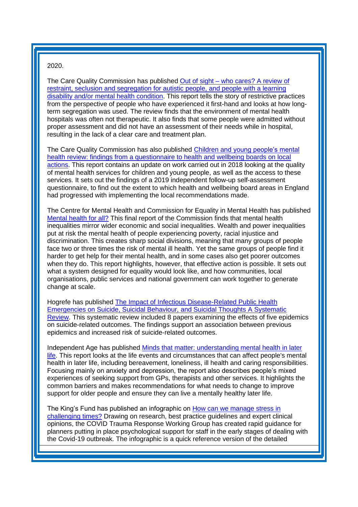#### 2020.

The Care Quality Commission has published Out of sight – [who cares? A review of](https://www.cqc.org.uk/sites/default/files/20201023_rssreview_report.pdf?utm_source=The%20King%27s%20Fund%20newsletters%20%28main%20account%29&utm_medium=email&utm_campaign=11919282_NEWSL_HMP%202020-10-27&dm_i=21A8,73GZ6,FLWT3F,SOFC4,1)  [restraint, seclusion and segregation for autistic people, and people with a learning](https://www.cqc.org.uk/sites/default/files/20201023_rssreview_report.pdf?utm_source=The%20King%27s%20Fund%20newsletters%20%28main%20account%29&utm_medium=email&utm_campaign=11919282_NEWSL_HMP%202020-10-27&dm_i=21A8,73GZ6,FLWT3F,SOFC4,1)  [disability and/or mental health condition.](https://www.cqc.org.uk/sites/default/files/20201023_rssreview_report.pdf?utm_source=The%20King%27s%20Fund%20newsletters%20%28main%20account%29&utm_medium=email&utm_campaign=11919282_NEWSL_HMP%202020-10-27&dm_i=21A8,73GZ6,FLWT3F,SOFC4,1) This report tells the story of restrictive practices from the perspective of people who have experienced it first-hand and looks at how longterm segregation was used. The review finds that the environment of mental health hospitals was often not therapeutic. It also finds that some people were admitted without proper assessment and did not have an assessment of their needs while in hospital, resulting in the lack of a clear care and treatment plan.

The Care Quality Commission has also published [Children and young people's mental](https://www.cqc.org.uk/sites/default/files/20201021_cypmh_update.pdf?utm_source=The%20King%27s%20Fund%20newsletters%20%28main%20account%29&utm_medium=email&utm_campaign=11919282_NEWSL_HMP%202020-10-27&dm_i=21A8,73GZ6,FLWT3F,SOFC4,1)  [health review: findings from a questionnaire to health and wellbeing boards on local](https://www.cqc.org.uk/sites/default/files/20201021_cypmh_update.pdf?utm_source=The%20King%27s%20Fund%20newsletters%20%28main%20account%29&utm_medium=email&utm_campaign=11919282_NEWSL_HMP%202020-10-27&dm_i=21A8,73GZ6,FLWT3F,SOFC4,1)  [actions.](https://www.cqc.org.uk/sites/default/files/20201021_cypmh_update.pdf?utm_source=The%20King%27s%20Fund%20newsletters%20%28main%20account%29&utm_medium=email&utm_campaign=11919282_NEWSL_HMP%202020-10-27&dm_i=21A8,73GZ6,FLWT3F,SOFC4,1) This report contains an update on work carried out in 2018 looking at the quality of mental health services for children and young people, as well as the access to these services. It sets out the findings of a 2019 independent follow-up self-assessment questionnaire, to find out the extent to which health and wellbeing board areas in England had progressed with implementing the local recommendations made.

The Centre for Mental Health and Commission for Equality in Mental Health has published [Mental health for all?](https://www.centreformentalhealth.org.uk/sites/default/files/publication/download/CentreforMH_Commission_FinalReport.pdf?utm_source=The%20King%27s%20Fund%20newsletters%20%28main%20account%29&utm_medium=email&utm_campaign=11970553_NEWSL_HMP%202020-11-17&dm_i=21A8,74KJD,FLWT3F,SUK6G,1) This final report of the Commission finds that mental health inequalities mirror wider economic and social inequalities. Wealth and power inequalities put at risk the mental health of people experiencing poverty, racial injustice and discrimination. This creates sharp social divisions, meaning that many groups of people face two or three times the risk of mental ill health. Yet the same groups of people find it harder to get help for their mental health, and in some cases also get poorer outcomes when they do. This report highlights, however, that effective action is possible. It sets out what a system designed for equality would look like, and how communities, local organisations, public services and national government can work together to generate change at scale.

Hogrefe has published [The Impact of Infectious Disease-Related Public Health](https://econtent.hogrefe.com/doi/full/10.1027/0227-5910/a000753)  [Emergencies on Suicide, Suicidal Behaviour, and Suicidal Thoughts A Systematic](https://econtent.hogrefe.com/doi/full/10.1027/0227-5910/a000753)  [Review.](https://econtent.hogrefe.com/doi/full/10.1027/0227-5910/a000753) This systematic review included 8 papers examining the effects of five epidemics on suicide-related outcomes. The findings support an association between previous epidemics and increased risk of suicide-related outcomes.

Independent Age has published [Minds that matter: understanding mental health in later](https://independent-age-assets.s3.eu-west-1.amazonaws.com/s3fs-public/2020-10/Mental_health_report_FINAL.pdf?AdNI8cex815TjfZiNYzWOl71r8XC1oDY=&utm_source=The%20King%27s%20Fund%20newsletters%20%28main%20account%29&utm_medium=email&utm_campaign=11910401_NEWSL_HMP%202020-10-23&dm_i=21A8,73A4H,FLWT3F,SO4AJ,1)  [life.](https://independent-age-assets.s3.eu-west-1.amazonaws.com/s3fs-public/2020-10/Mental_health_report_FINAL.pdf?AdNI8cex815TjfZiNYzWOl71r8XC1oDY=&utm_source=The%20King%27s%20Fund%20newsletters%20%28main%20account%29&utm_medium=email&utm_campaign=11910401_NEWSL_HMP%202020-10-23&dm_i=21A8,73A4H,FLWT3F,SO4AJ,1) This report looks at the life events and circumstances that can affect people's mental health in later life, including bereavement, loneliness, ill health and caring responsibilities. Focusing mainly on anxiety and depression, the report also describes people's mixed experiences of seeking support from GPs, therapists and other services. It highlights the common barriers and makes recommendations for what needs to change to improve support for older people and ensure they can live a mentally healthy later life.

The King's Fund has published an infographic on [How can we manage stress in](https://www.kingsfund.org.uk/audio-video/stress-hospital-staff-covid-19?utm_source=The%20King%27s%20Fund%20newsletters%20%28main%20account%29&utm_medium=email&utm_campaign=11956794_NEWSL_The%20Weekly%20Update%202020-11-06&utm_content=responding_to_stress_ltc&dm_i=21A8,749X6,FLWT3F,SSELF,1)  [challenging times?](https://www.kingsfund.org.uk/audio-video/stress-hospital-staff-covid-19?utm_source=The%20King%27s%20Fund%20newsletters%20%28main%20account%29&utm_medium=email&utm_campaign=11956794_NEWSL_The%20Weekly%20Update%202020-11-06&utm_content=responding_to_stress_ltc&dm_i=21A8,749X6,FLWT3F,SSELF,1) Drawing on research, best practice guidelines and expert clinical opinions, the COVID Trauma Response Working Group has created rapid guidance for planners putting in place psychological support for staff in the early stages of dealing with the Covid-19 outbreak. The infographic is a quick reference version of the detailed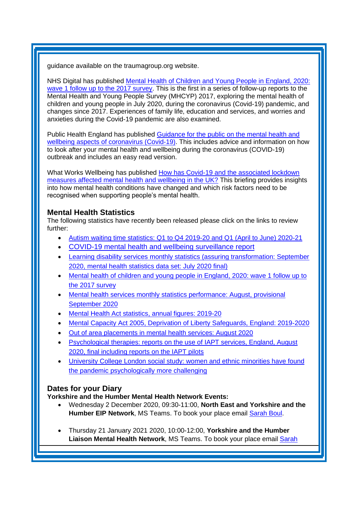guidance available on the traumagroup.org website.

NHS Digital has published [Mental Health of Children and Young People in England, 2020:](https://digital.nhs.uk/data-and-information/publications/statistical/mental-health-of-children-and-young-people-in-england/2020-wave-1-follow-up?utm_source=The%20King%27s%20Fund%20newsletters%20%28main%20account%29&utm_medium=email&utm_campaign=11898514_NEWSL_HWB_2020-10-26&dm_i=21A8,730YA,FLWT3F,SOP4O,1)  [wave 1 follow up to the 2017 survey.](https://digital.nhs.uk/data-and-information/publications/statistical/mental-health-of-children-and-young-people-in-england/2020-wave-1-follow-up?utm_source=The%20King%27s%20Fund%20newsletters%20%28main%20account%29&utm_medium=email&utm_campaign=11898514_NEWSL_HWB_2020-10-26&dm_i=21A8,730YA,FLWT3F,SOP4O,1) This is the first in a series of follow-up reports to the Mental Health and Young People Survey (MHCYP) 2017, exploring the mental health of children and young people in July 2020, during the coronavirus (Covid-19) pandemic, and changes since 2017. Experiences of family life, education and services, and worries and anxieties during the Covid-19 pandemic are also examined.

Public Health England has published Guidance for the public on the mental health and [wellbeing aspects of coronavirus \(Covid-19\).](https://kingsfundmail.org.uk/21A8-741T6-FLWT3F-493C0Z-1/c.aspx) This includes advice and information on how to look after your mental health and wellbeing during the coronavirus (COVID-19) outbreak and includes an easy read version.

What Works Wellbeing has published [How has Covid-19 and the associated lockdown](https://whatworkswellbeing.org/resources/how-has-covid-19-and-the-associated-lockdown-measures-affected-mental-health-and-wellbeing-in-the-uk/)  [measures affected mental health and wellbeing in the UK?](https://whatworkswellbeing.org/resources/how-has-covid-19-and-the-associated-lockdown-measures-affected-mental-health-and-wellbeing-in-the-uk/) This briefing provides insights into how mental health conditions have changed and which risk factors need to be recognised when supporting people's mental health.

# <span id="page-6-0"></span>**Mental Health Statistics**

The following statistics have recently been released please click on the links to review further:

- Autism [waiting time statistics: Q1 to Q4 2019-20 and Q1 \(April to June\) 2020-21](https://kingsfundmail.org.uk/21A8-711VR-FLWT3F-46PRMU-1/c.aspx)
- [COVID-19 mental health and wellbeing surveillance report](https://eur01.safelinks.protection.outlook.com/?url=https%3A%2F%2Fwww.gov.uk%2Fgovernment%2Fpublications%2Fcovid-19-mental-health-and-wellbeing-surveillance-report&data=04%7C01%7CLaura.Hodgson%40phe.gov.uk%7C914d117f7bc34b9101d908d887aa001f%7Cee4e14994a354b2ead475f3cf9de8666%7C0%7C0%7C637408511496208438%7CUnknown%7CTWFpbGZsb3d8eyJWIjoiMC4wLjAwMDAiLCJQIjoiV2luMzIiLCJBTiI6Ik1haWwiLCJXVCI6Mn0%3D%7C1000&sdata=CqLKqZYC1tTB4JIeJUjwF7bedPn0r3m2wJn3j8ZkPLs%3D&reserved=0)
- [Learning disability services monthly statistics \(assuring transformation: September](https://kingsfundmail.org.uk/21A8-72UY5-FLWT3F-487XUR-1/c.aspx)  [2020, mental health statistics data set: July 2020 final\)](https://kingsfundmail.org.uk/21A8-72UY5-FLWT3F-487XUR-1/c.aspx)
- [Mental health of children and young people in England, 2020: wave 1 follow up to](https://kingsfundmail.org.uk/21A8-73GZ6-FLWT3F-48J222-1/c.aspx)  [the 2017 survey](https://kingsfundmail.org.uk/21A8-73GZ6-FLWT3F-48J222-1/c.aspx)
- Mental health services monthly statistics performance: August, provisional [September 2020](https://kingsfundmail.org.uk/21A8-74EAK-FLWT3F-49EOQK-1/c.aspx)
- [Mental Health Act statistics, annual figures: 2019-20](https://kingsfundmail.org.uk/21A8-73OAB-FLWT3F-48PUK0-1/c.aspx)
- [Mental Capacity Act 2005, Deprivation of Liberty Safeguards, England: 2019-2020](https://kingsfundmail.org.uk/21A8-74EAK-FLWT3F-49EQRX-1/c.aspx)
- [Out of area placements in mental health services: August 2020](https://kingsfundmail.org.uk/21A8-74EAK-FLWT3F-49EP09-1/c.aspx)
- [Psychological therapies: reports on the use of IAPT services, England, August](https://kingsfundmail.org.uk/21A8-74EAK-FLWT3F-49EOQI-1/c.aspx)  [2020, final including reports on the IAPT pilots](https://kingsfundmail.org.uk/21A8-74EAK-FLWT3F-49EOQI-1/c.aspx)
- [University College London social study: women and ethnic minorities have found](https://kingsfundmail.org.uk/21A8-746XL-FLWT3F-4965XI-1/c.aspx)  [the pandemic psychologically more challenging](https://kingsfundmail.org.uk/21A8-746XL-FLWT3F-4965XI-1/c.aspx)

# <span id="page-6-1"></span>**Dates for your Diary**

**Yorkshire and the Humber Mental Health Network Events:**

- Wednesday 2 December 2020, 09:30-11:00, **North East and Yorkshire and the Humber EIP Network**, MS Teams. To book your place email [Sarah Boul.](mailto:sarah.boul@nhs.net)
- Thursday 21 January 2021 2020, 10:00-12:00, **Yorkshire and the Humber Liaison Mental Health Network**, MS Teams. To book your place email [Sarah](mailto:sarah.boul@nhs.net)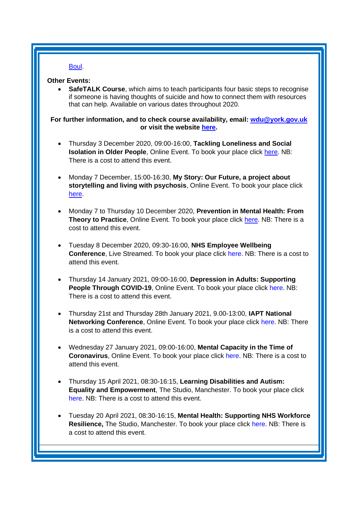# [Boul.](mailto:sarah.boul@nhs.net)

#### **Other Events:**

• **SafeTALK Course**, which aims to teach participants four basic steps to recognise if someone is having thoughts of suicide and how to connect them with resources that can help. Available on various dates throughout 2020.

#### **For further information, and to check course availability, email: [wdu@york.gov.uk](mailto:wdu@york.gov.uk) or visit the website [here.](http://www.yorkworkforcedevelopment.org.uk/)**

- Thursday 3 December 2020, 09:00-16:00, **Tackling Loneliness and Social Isolation in Older People**, Online Event. To book your place click [here.](https://localgov-insight.com/booking/3479/BLGDZO-1900096) NB: There is a cost to attend this event.
- Monday 7 December, 15:00-16:30, **My Story: Our Future, a project about storytelling and living with psychosis**, Online Event. To book your place click [here.](https://www.eventbrite.co.uk/e/the-power-of-storytelling-and-how-it-can-be-used-in-mental-health-services-tickets-127425371717)
- Monday 7 to Thursday 10 December 2020, **Prevention in Mental Health: From Theory to Practice**, Online Event. To book your place click [here.](https://www.kingsfund.org.uk/events/prevention-mental-health?utm_source=The%20King%27s%20Fund%20newsletters%20%28main%20account%29&utm_medium=email&utm_campaign=11858934_MKEVT_J1344_Prevention%20in%20mental%20health_Soft_launch&utm_content=Find%20out%20more%20and%20register&dm_i=21A8,726EU,FLWT3F,SI5Q3,1) NB: There is a cost to attend this event.
- Tuesday 8 December 2020, 09:30-16:00, **NHS Employee Wellbeing Conference**, Live Streamed. To book your place click [here.](https://conference-insight.com/booking/3485/UQKIZO-1900096) NB: There is a cost to attend this event.
- Thursday 14 January 2021, 09:00-16:00, **Depression in Adults: Supporting People Through COVID-19, Online Event. To book your place click [here.](https://www.healthcareconferencesuk.co.uk/conferences-masterclasses/depression-covid-19/book/virtual-online-2021-1-14?utm_medium=email&utm_source=HCUKkt&utm_campaign=Depression0121) NB:** There is a cost to attend this event.
- Thursday 21st and Thursday 28th January 2021, 9.00-13:00, **IAPT National Networking Conference**, Online Event. To book your place click [here.](https://www.iapt-nnf.co.uk/booking/index/191/?utm_source=SBK%20Healthcare&utm_medium=email&utm_campaign=11875628_2021PT%201st%20email&dm_i=1SB0,72JAK,MCTTTA,SJWEF,1) NB: There is a cost to attend this event.
- Wednesday 27 January 2021, 09:00-16:00, **Mental Capacity in the Time of Coronavirus**, Online Event. To book your place click [here.](https://www.healthcareconferencesuk.co.uk/conferences-masterclasses/mental-capacity-coronavirus?utm_medium=email&utm_source=HCUKKH&utm_campaign=MCAvMCJuly2020) NB: There is a cost to attend this event.
- Thursday 15 April 2021, 08:30-16:15, **Learning Disabilities and Autism: Equality and Empowerment**, The Studio, Manchester. To book your place click [here.](https://www.openforumevents.co.uk/events/2021/learning-disabilities-and-autism-equality-and-empowerment/?utm_source=LD+OC+30.10&utm_medium=email&utm_campaign=LD+2021+Wk+1) NB: There is a cost to attend this event.
- Tuesday 20 April 2021, 08:30-16:15, **Mental Health: Supporting NHS Workforce Resilience,** The Studio, Manchester. To book your place click [here.](https://www.openforumevents.co.uk/events/2021/mental-health-supporting-nhs-workforce-resilience/?utm_source=MHWF+2021+Wk+1+4+NHS+05.11&utm_medium=email&utm_campaign=MHWF+2021+Wk+1) NB: There is a cost to attend this event.